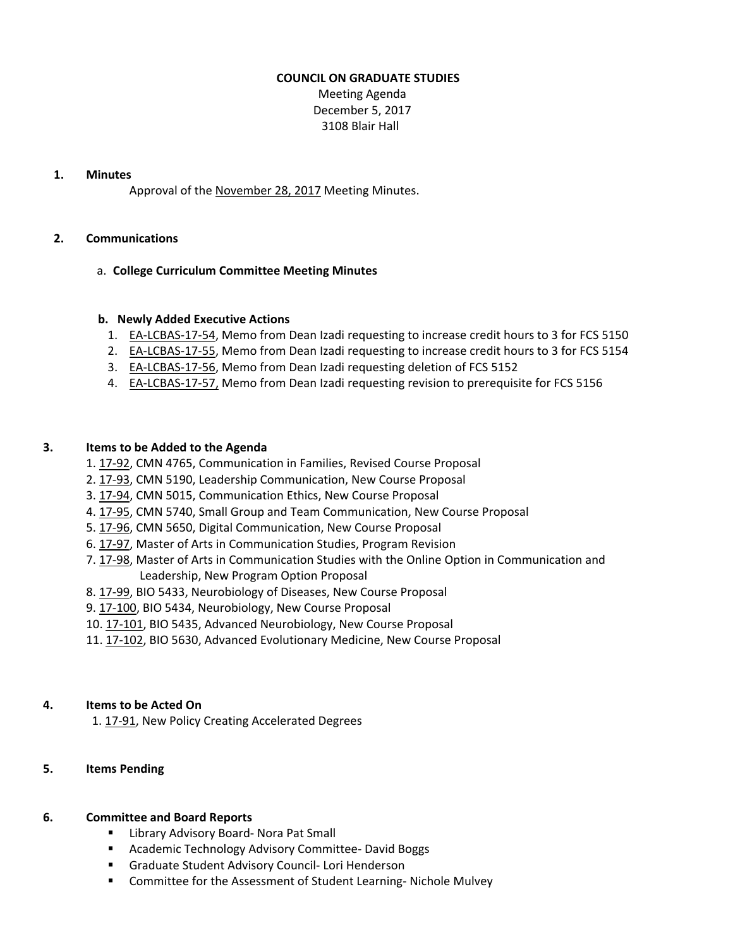#### **COUNCIL ON GRADUATE STUDIES**

Meeting Agenda December 5, 2017 3108 Blair Hall

#### **1. Minutes**

Approval of the [November](http://castle.eiu.edu/eiucgs/currentminutes/Minutes11-28-17.pdf) 28, 2017 Meeting Minutes.

## **2. Communications**

#### a. **College Curriculum Committee Meeting Minutes**

#### **b. Newly Added Executive Actions**

- 1. EA‐[LCBAS](http://castle.eiu.edu/eiucgs/exec-actions/EA-LCBAS-17-54.pdf)‐17‐54, Memo from Dean Izadi requesting to increase credit hours to 3 for FCS 5150
- 2. EA‐[LCBAS](http://castle.eiu.edu/eiucgs/exec-actions/EA-LCBAS-17-55.pdf)‐17‐55, Memo from Dean Izadi requesting to increase credit hours to 3 for FCS 5154
- 3. EA‐[LCBAS](http://castle.eiu.edu/eiucgs/exec-actions/EA-LCBAS-17-56.pdf)‐17‐56, Memo from Dean Izadi requesting deletion of FCS 5152
- 4. EA‐[LCBAS](http://castle.eiu.edu/eiucgs/exec-actions/EA-LCBAS-17-57.pdf)‐17‐57, Memo from Dean Izadi requesting revision to prerequisite for FCS 5156

## **3. Items to be Added to the Agenda**

- 1. [17](http://castle.eiu.edu/eiucgs/currentagendaitems/agenda17-92.pdf)‐92, CMN 4765, Communication in Families, Revised Course Proposal
- 2. [17](http://castle.eiu.edu/eiucgs/currentagendaitems/agenda17-93.pdf)‐93, CMN 5190, Leadership Communication, New Course Proposal
- 3. [17](http://castle.eiu.edu/eiucgs/currentagendaitems/agenda17-94.pdf)‐94, CMN 5015, Communication Ethics, New Course Proposal
- 4[. 17](http://castle.eiu.edu/eiucgs/currentagendaitems/agenda17-95.pdf)‐95, CMN 5740, Small Group and Team Communication, New Course Proposal
- 5[. 17](http://castle.eiu.edu/eiucgs/currentagendaitems/agenda17-96.pdf)‐96, CMN 5650, Digital Communication, New Course Proposal
- 6. 17‐[97,](http://castle.eiu.edu/eiucgs/currentagendaitems/agenda17-97.pdf) Master of Arts in Communication Studies, Program Revision
- 7[. 17](http://castle.eiu.edu/eiucgs/currentagendaitems/agenda17-98.pdf)‐98, Master of Arts in Communication Studies with the Online Option in Communication and Leadership, New Program Option Proposal
- 8. [17](http://castle.eiu.edu/eiucgs/currentagendaitems/agenda17-99.pdf)-99, BIO 5433, Neurobiology of Diseases, New Course Proposal
- 9. 17‐[100,](http://castle.eiu.edu/eiucgs/currentagendaitems/agenda17-100.pdf) BIO 5434, Neurobiology, New Course Proposal
- 10. 17-[101,](http://castle.eiu.edu/eiucgs/currentagendaitems/agenda17-101.pdf) BIO 5435, Advanced Neurobiology, New Course Proposal
- 11. 17-[102,](http://castle.eiu.edu/eiucgs/currentagendaitems/agenda17-102.pdf) BIO 5630, Advanced Evolutionary Medicine, New Course Proposal

## **4. Items to be Acted On**

1. [17](http://castle.eiu.edu/eiucgs/currentagendaitems/agenda17-91.pdf)-91, New Policy Creating Accelerated Degrees

## **5. Items Pending**

## **6. Committee and Board Reports**

- Library Advisory Board- Nora Pat Small
- Academic Technology Advisory Committee- David Boggs
- Graduate Student Advisory Council- Lori Henderson
- Committee for the Assessment of Student Learning-Nichole Mulvey